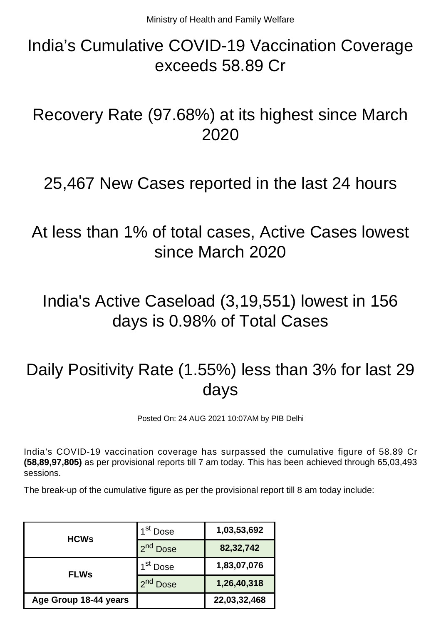## India's Cumulative COVID-19 Vaccination Coverage exceeds 58.89 Cr

Recovery Rate (97.68%) at its highest since March 2020

#### 25,467 New Cases reported in the last 24 hours

At less than 1% of total cases, Active Cases lowest since March 2020

## India's Active Caseload (3,19,551) lowest in 156 days is 0.98% of Total Cases

# Daily Positivity Rate (1.55%) less than 3% for last 29 days

Posted On: 24 AUG 2021 10:07AM by PIB Delhi

India's COVID-19 vaccination coverage has surpassed the cumulative figure of 58.89 Cr **(58,89,97,805)** as per provisional reports till 7 am today. This has been achieved through 65,03,493 sessions.

The break-up of the cumulative figure as per the provisional report till 8 am today include:

| <b>HCWs</b>           | 1 <sup>st</sup> Dose    | 1,03,53,692  |
|-----------------------|-------------------------|--------------|
|                       | 2 <sup>nd</sup> Dose    | 82,32,742    |
| <b>FLWs</b>           | 1 <sup>st</sup> Dose    | 1,83,07,076  |
|                       | $2^{nd}$<br><b>Dose</b> | 1,26,40,318  |
| Age Group 18-44 years |                         | 22,03,32,468 |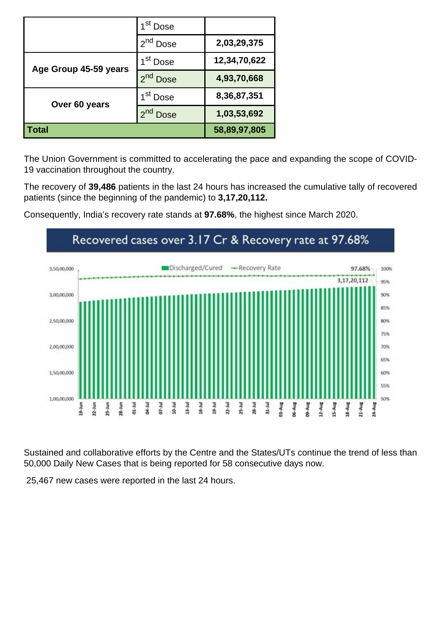|                       | 1 <sup>st</sup> Dose    |              |
|-----------------------|-------------------------|--------------|
|                       | 2 <sup>nd</sup> Dose    | 2,03,29,375  |
| Age Group 45-59 years | 1 <sup>st</sup> Dose    | 12,34,70,622 |
|                       | 2 <sup>nd</sup> Dose    | 4,93,70,668  |
| Over 60 years         | 1 <sup>st</sup> Dose    | 8,36,87,351  |
|                       | $2^{nd}$<br><b>Dose</b> | 1,03,53,692  |
| Total                 |                         | 58,89,97,805 |

The Union Government is committed to accelerating the pace and expanding the scope of COVID-19 vaccination throughout the country.

The recovery of **39,486** patients in the last 24 hours has increased the cumulative tally of recovered patients (since the beginning of the pandemic) to **3,17,20,112.**



Consequently, India's recovery rate stands at **97.68%**, the highest since March 2020.

Sustained and collaborative efforts by the Centre and the States/UTs continue the trend of less than 50,000 Daily New Cases that is being reported for 58 consecutive days now.

25,467 new cases were reported in the last 24 hours.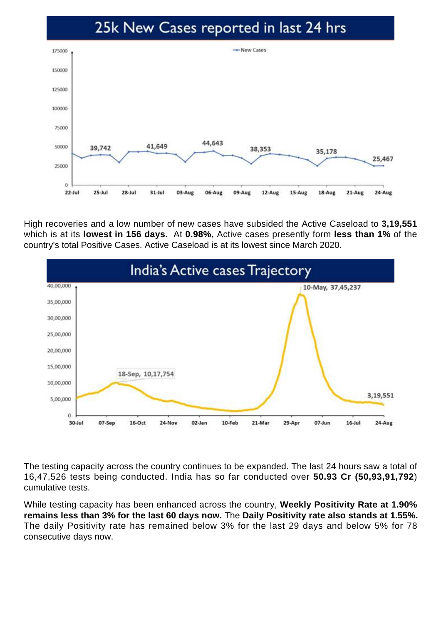#### 25k New Cases reported in last 24 hrs



High recoveries and a low number of new cases have subsided the Active Caseload to **3,19,551** which is at its **lowest in 156 days.** At **0.98%**, Active cases presently form **less than 1%** of the country's total Positive Cases. Active Caseload is at its lowest since March 2020.



The testing capacity across the country continues to be expanded. The last 24 hours saw a total of 16,47,526 tests being conducted. India has so far conducted over **50.93 Cr (50,93,91,792**) cumulative tests.

While testing capacity has been enhanced across the country, **Weekly Positivity Rate at 1.90% remains less than 3% for the last 60 days now.** The **Daily Positivity rate also stands at 1.55%.** The daily Positivity rate has remained below 3% for the last 29 days and below 5% for 78 consecutive days now.